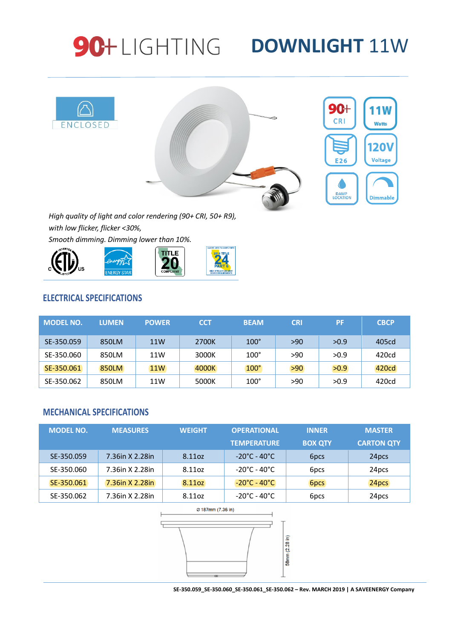# **90+LIGHTING DOWNLIGHT 11W**



*High quality of light and color rendering (90+ CRI, 50+ R9), with low flicker, flicker <30%,*





### **ELECTRICAL SPECIFICATIONS**

| <b>MODEL NO.</b> | <b>LUMEN</b> | <b>POWER</b> | <b>CCT</b> | <b>BEAM</b> | <b>CRI</b> | <b>PF</b> | <b>CBCP</b> |
|------------------|--------------|--------------|------------|-------------|------------|-----------|-------------|
| SE-350.059       | 850LM        | 11W          | 2700K      | $100^\circ$ | >90        | >0.9      | 405cd       |
| SE-350.060       | 850LM        | 11W          | 3000K      | $100^\circ$ | >90        | >0.9      | 420cd       |
| SE-350.061       | 850LM        | <b>11W</b>   | 4000K      | $100^\circ$ | >90        | >0.9      | 420cd       |
| SE-350.062       | 850LM        | 11W          | 5000K      | $100^\circ$ | >90        | >0.9      | 420cd       |

### **MECHANICAL SPECIFICATIONS**

| <b>MODEL NO.</b> | <b>MEASURES</b> | <b>WEIGHT</b> | <b>OPERATIONAL</b>                | <b>INNER</b>     | <b>MASTER</b>     |
|------------------|-----------------|---------------|-----------------------------------|------------------|-------------------|
|                  |                 |               | <b>TEMPERATURE</b>                | <b>BOX QTY</b>   | <b>CARTON QTY</b> |
| SE-350.059       | 7.36in X 2.28in | 8.11oz        | $-20^{\circ}$ C - 40 $^{\circ}$ C | 6 <sub>pcs</sub> | 24 <sub>pcs</sub> |
| SE-350.060       | 7.36in X 2.28in | 8.11oz        | $-20^{\circ}$ C - 40 $^{\circ}$ C | 6 <sub>pcs</sub> | 24pcs             |
| SE-350.061       | 7.36in X 2.28in | 8.11oz        | $-20^{\circ}$ C - 40 $^{\circ}$ C | 6pcs             | 24pcs             |
| SE-350.062       | 7.36in X 2.28in | 8.11oz        | -20°C - 40°C                      | 6 <sub>pcs</sub> | 24pcs             |



**SE-350.059\_SE-350.060\_SE-350.061\_SE-350.062 – Rev. MARCH 2019 | A SAVEENERGY Company**